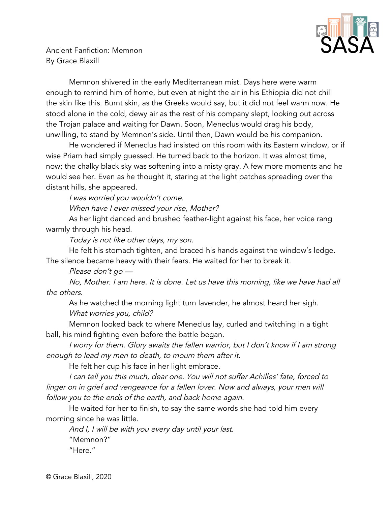

Ancient Fanfiction: Memnon By Grace Blaxill

Memnon shivered in the early Mediterranean mist. Days here were warm enough to remind him of home, but even at night the air in his Ethiopia did not chill the skin like this. Burnt skin, as the Greeks would say, but it did not feel warm now. He stood alone in the cold, dewy air as the rest of his company slept, looking out across the Trojan palace and waiting for Dawn. Soon, Meneclus would drag his body, unwilling, to stand by Memnon's side. Until then, Dawn would be his companion.

He wondered if Meneclus had insisted on this room with its Eastern window, or if wise Priam had simply guessed. He turned back to the horizon. It was almost time, now; the chalky black sky was softening into a misty gray. A few more moments and he would see her. Even as he thought it, staring at the light patches spreading over the distant hills, she appeared.

I was worried you wouldn't come.

When have I ever missed your rise, Mother?

As her light danced and brushed feather-light against his face, her voice rang warmly through his head.

Today is not like other days, my son.

He felt his stomach tighten, and braced his hands against the window's ledge. The silence became heavy with their fears. He waited for her to break it.

Please don't go —

No, Mother. I am here. It is done. Let us have this morning, like we have had all the others.

As he watched the morning light turn lavender, he almost heard her sigh. What worries you, child?

Memnon looked back to where Meneclus lay, curled and twitching in a tight ball, his mind fighting even before the battle began.

I worry for them. Glory awaits the fallen warrior, but I don't know if I am strong enough to lead my men to death, to mourn them after it.

He felt her cup his face in her light embrace.

I can tell you this much, dear one. You will not suffer Achilles' fate, forced to linger on in grief and vengeance for <sup>a</sup> fallen lover. Now and always, your men will follow you to the ends of the earth, and back home again.

He waited for her to finish, to say the same words she had told him every morning since he was little.

And I, I will be with you every day until your last. "Memnon?" "Here."